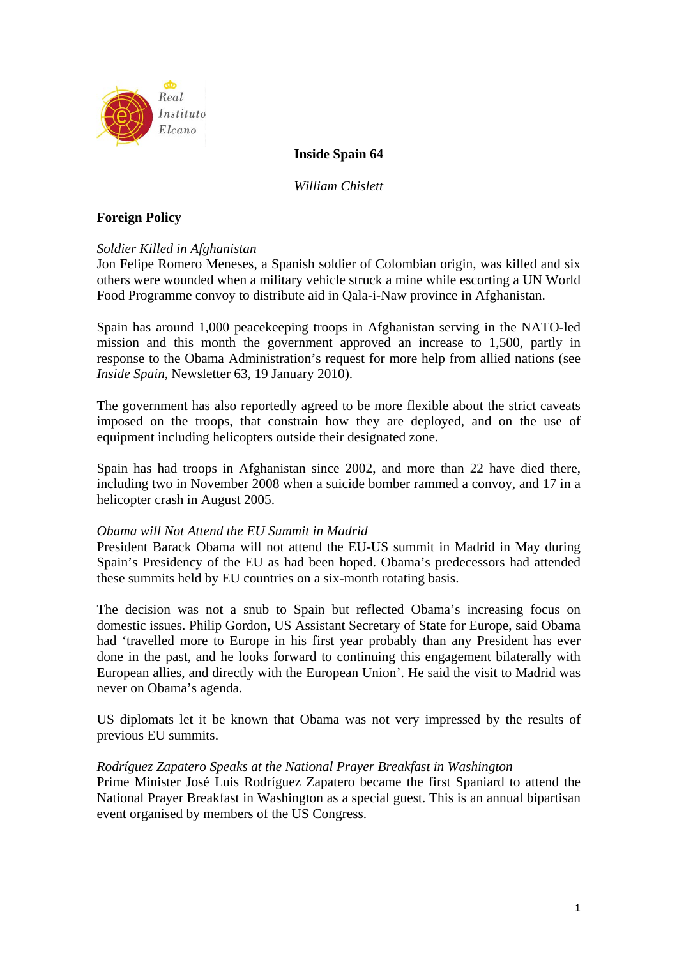

# **Inside Spain 64**

*William Chislett* 

# **Foreign Policy**

## *Soldier Killed in Afghanistan*

Jon Felipe Romero Meneses, a Spanish soldier of Colombian origin, was killed and six others were wounded when a military vehicle struck a mine while escorting a UN World Food Programme convoy to distribute aid in Qala-i-Naw province in Afghanistan.

Spain has around 1,000 peacekeeping troops in Afghanistan serving in the NATO-led mission and this month the government approved an increase to 1,500, partly in response to the Obama Administration's request for more help from allied nations (see *Inside Spain*, Newsletter 63, 19 January 2010).

The government has also reportedly agreed to be more flexible about the strict caveats imposed on the troops, that constrain how they are deployed, and on the use of equipment including helicopters outside their designated zone.

Spain has had troops in Afghanistan since 2002, and more than 22 have died there, including two in November 2008 when a suicide bomber rammed a convoy, and 17 in a helicopter crash in August 2005.

#### *Obama will Not Attend the EU Summit in Madrid*

President Barack Obama will not attend the EU-US summit in Madrid in May during Spain's Presidency of the EU as had been hoped. Obama's predecessors had attended these summits held by EU countries on a six-month rotating basis.

The decision was not a snub to Spain but reflected Obama's increasing focus on domestic issues. Philip Gordon, US Assistant Secretary of State for Europe, said Obama had 'travelled more to Europe in his first year probably than any President has ever done in the past, and he looks forward to continuing this engagement bilaterally with European allies, and directly with the European Union'. He said the visit to Madrid was never on Obama's agenda.

US diplomats let it be known that Obama was not very impressed by the results of previous EU summits.

## *Rodríguez Zapatero Speaks at the National Prayer Breakfast in Washington*

Prime Minister José Luis Rodríguez Zapatero became the first Spaniard to attend the National Prayer Breakfast in Washington as a special guest. This is an annual bipartisan event organised by members of the US Congress.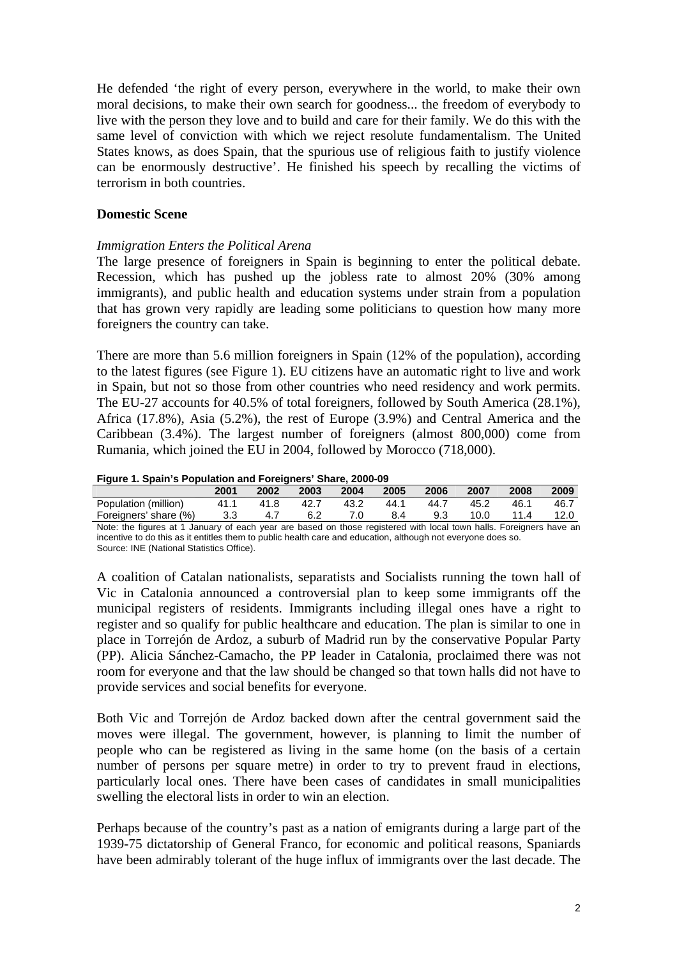He defended 'the right of every person, everywhere in the world, to make their own moral decisions, to make their own search for goodness... the freedom of everybody to live with the person they love and to build and care for their family. We do this with the same level of conviction with which we reject resolute fundamentalism. The United States knows, as does Spain, that the spurious use of religious faith to justify violence can be enormously destructive'. He finished his speech by recalling the victims of terrorism in both countries.

## **Domestic Scene**

# *Immigration Enters the Political Arena*

The large presence of foreigners in Spain is beginning to enter the political debate. Recession, which has pushed up the jobless rate to almost 20% (30% among immigrants), and public health and education systems under strain from a population that has grown very rapidly are leading some politicians to question how many more foreigners the country can take.

There are more than 5.6 million foreigners in Spain (12% of the population), according to the latest figures (see Figure 1). EU citizens have an automatic right to live and work in Spain, but not so those from other countries who need residency and work permits. The EU-27 accounts for 40.5% of total foreigners, followed by South America (28.1%), Africa (17.8%), Asia (5.2%), the rest of Europe (3.9%) and Central America and the Caribbean (3.4%). The largest number of foreigners (almost 800,000) come from Rumania, which joined the EU in 2004, followed by Morocco (718,000).

|  |  | Figure 1. Spain's Population and Foreigners' Share, 2000-09 |
|--|--|-------------------------------------------------------------|
|  |  |                                                             |
|  |  |                                                             |

| <b>11980 - Produced Production and Programs Charge Love of</b> |      |     |     |                     |     |         |                     |           |        |
|----------------------------------------------------------------|------|-----|-----|---------------------|-----|---------|---------------------|-----------|--------|
|                                                                | 2001 |     |     | 2002 2003 2004 2005 |     | $-2006$ | 2007                | 2008      | 2009   |
| Population (million) 41.1 41.8 42.7 43.2                       |      |     |     |                     |     |         | 44.1 44.7 45.2 46.1 |           | 46.7   |
| Foreigners' share (%) 3.3                                      |      | 4.7 | 6.2 | 7.0                 | 8.4 | 9.3     |                     | 10.0 11.4 | - 12.0 |

Note: the figures at 1 January of each year are based on those registered with local town halls. Foreigners have an incentive to do this as it entitles them to public health care and education, although not everyone does so. Source: INE (National Statistics Office).

A coalition of Catalan nationalists, separatists and Socialists running the town hall of Vic in Catalonia announced a controversial plan to keep some immigrants off the municipal registers of residents. Immigrants including illegal ones have a right to register and so qualify for public healthcare and education. The plan is similar to one in place in Torrejón de Ardoz, a suburb of Madrid run by the conservative Popular Party (PP). Alicia Sánchez-Camacho, the PP leader in Catalonia, proclaimed there was not room for everyone and that the law should be changed so that town halls did not have to provide services and social benefits for everyone.

Both Vic and Torrejón de Ardoz backed down after the central government said the moves were illegal. The government, however, is planning to limit the number of people who can be registered as living in the same home (on the basis of a certain number of persons per square metre) in order to try to prevent fraud in elections, particularly local ones. There have been cases of candidates in small municipalities swelling the electoral lists in order to win an election.

Perhaps because of the country's past as a nation of emigrants during a large part of the 1939-75 dictatorship of General Franco, for economic and political reasons, Spaniards have been admirably tolerant of the huge influx of immigrants over the last decade. The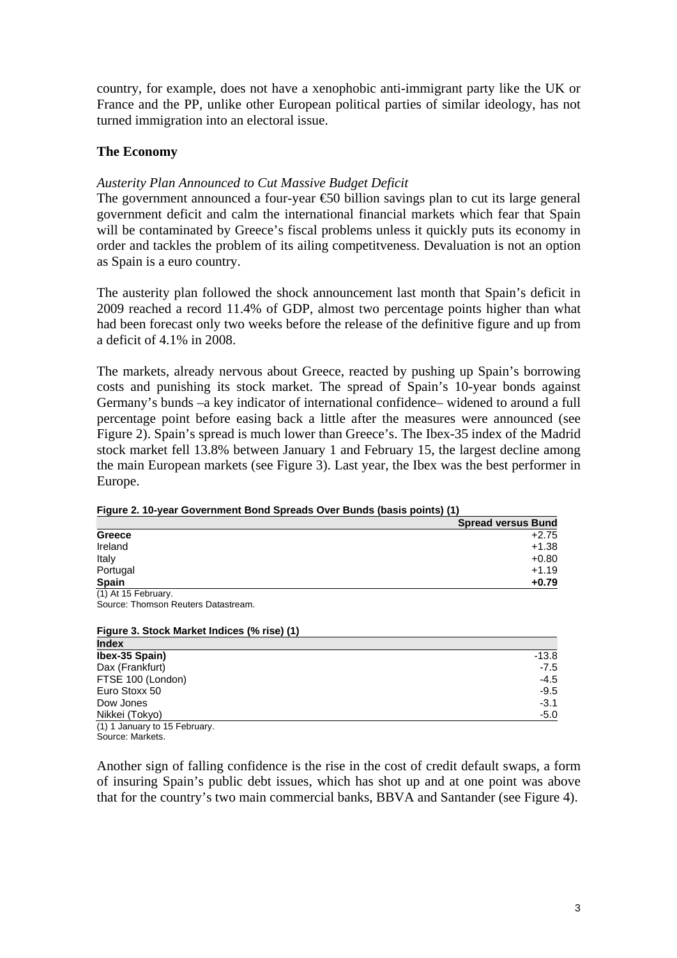country, for example, does not have a xenophobic anti-immigrant party like the UK or France and the PP, unlike other European political parties of similar ideology, has not turned immigration into an electoral issue.

# **The Economy**

# *Austerity Plan Announced to Cut Massive Budget Deficit*

The government announced a four-year  $\epsilon$  60 billion savings plan to cut its large general government deficit and calm the international financial markets which fear that Spain will be contaminated by Greece's fiscal problems unless it quickly puts its economy in order and tackles the problem of its ailing competitveness. Devaluation is not an option as Spain is a euro country.

The austerity plan followed the shock announcement last month that Spain's deficit in 2009 reached a record 11.4% of GDP, almost two percentage points higher than what had been forecast only two weeks before the release of the definitive figure and up from a deficit of 4.1% in 2008.

The markets, already nervous about Greece, reacted by pushing up Spain's borrowing costs and punishing its stock market. The spread of Spain's 10-year bonds against Germany's bunds –a key indicator of international confidence– widened to around a full percentage point before easing back a little after the measures were announced (see Figure 2). Spain's spread is much lower than Greece's. The Ibex-35 index of the Madrid stock market fell 13.8% between January 1 and February 15, the largest decline among the main European markets (see Figure 3). Last year, the Ibex was the best performer in Europe.

|                     | <b>Spread versus Bund</b> |
|---------------------|---------------------------|
| Greece              | $+2.75$                   |
| Ireland             | $+1.38$                   |
| Italy               | $+0.80$                   |
| Portugal            | $+1.19$                   |
| Spain               | $+0.79$                   |
| (1) At 15 February. |                           |

**Figure 2. 10-year Government Bond Spreads Over Bunds (basis points) (1)** 

Source: Thomson Reuters Datastream.

#### **Figure 3. Stock Market Indices (% rise) (1) Index**

| шчыл                          |         |
|-------------------------------|---------|
| Ibex-35 Spain)                | $-13.8$ |
| Dax (Frankfurt)               | $-7.5$  |
| FTSE 100 (London)             | $-4.5$  |
| Euro Stoxx 50                 | $-9.5$  |
| Dow Jones                     | $-3.1$  |
| Nikkei (Tokyo)                | $-5.0$  |
| (1) 1 January to 15 February. |         |

Source: Markets.

Another sign of falling confidence is the rise in the cost of credit default swaps, a form of insuring Spain's public debt issues, which has shot up and at one point was above that for the country's two main commercial banks, BBVA and Santander (see Figure 4).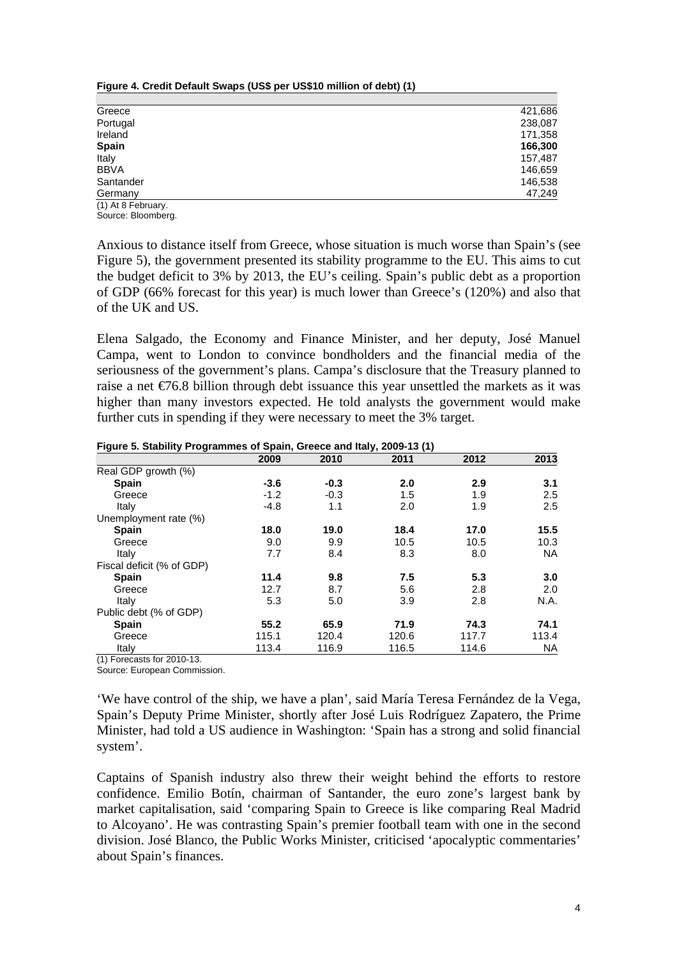| Greece             | 421,686 |
|--------------------|---------|
| Portugal           | 238,087 |
| Ireland            | 171,358 |
| <b>Spain</b>       | 166,300 |
| Italy              | 157,487 |
| <b>BBVA</b>        | 146,659 |
| Santander          | 146,538 |
| Germany            | 47,249  |
| (1) At 8 February. |         |

**Figure 4. Credit Default Swaps (US\$ per US\$10 million of debt) (1)** 

Source: Bloomberg.

Anxious to distance itself from Greece, whose situation is much worse than Spain's (see Figure 5), the government presented its stability programme to the EU. This aims to cut the budget deficit to 3% by 2013, the EU's ceiling. Spain's public debt as a proportion of GDP (66% forecast for this year) is much lower than Greece's (120%) and also that of the UK and US.

Elena Salgado, the Economy and Finance Minister, and her deputy, José Manuel Campa, went to London to convince bondholders and the financial media of the seriousness of the government's plans. Campa's disclosure that the Treasury planned to raise a net  $\epsilon$ 6.8 billion through debt issuance this year unsettled the markets as it was higher than many investors expected. He told analysts the government would make further cuts in spending if they were necessary to meet the 3% target.

**2009 2010 2011 2012 2013** Real GDP growth (%)  **Spain -3.6 -0.3 2.0 2.9 3.1** Greece -1.2 -0.3 1.5 1.9 2.5 1.1 2.0 1.9 2.5 الماء 1.4.8 1.1 2.0 1.9 2.5 Unemployment rate (%)  **Spain 18.0 19.0 18.4 17.0 15.5** Greece 9.0 9.9 10.5 10.5 10.3 Italy 7.7 8.4 8.3 8.0 NA Fiscal deficit (% of GDP)  **Spain 11.4 9.8 7.5 5.3 3.0** Greece 12.7 8.7 5.6 2.8 2.0 Italy 5.3 5.0 3.9 2.8 N.A. Public debt (% of GDP)  **Spain 55.2 65.9 71.9 74.3 74.1** Greece 115.1 120.4 120.6 117.7 113.4 Italy 113.4 116.9 116.5 114.6 NA

**Figure 5. Stability Programmes of Spain, Greece and Italy, 2009-13 (1)** 

(1) Forecasts for 2010-13.

Source: European Commission.

'We have control of the ship, we have a plan', said María Teresa Fernández de la Vega, Spain's Deputy Prime Minister, shortly after José Luis Rodríguez Zapatero, the Prime Minister, had told a US audience in Washington: 'Spain has a strong and solid financial system'.

Captains of Spanish industry also threw their weight behind the efforts to restore confidence. Emilio Botín, chairman of Santander, the euro zone's largest bank by market capitalisation, said 'comparing Spain to Greece is like comparing Real Madrid to Alcoyano'. He was contrasting Spain's premier football team with one in the second division. José Blanco, the Public Works Minister, criticised 'apocalyptic commentaries' about Spain's finances.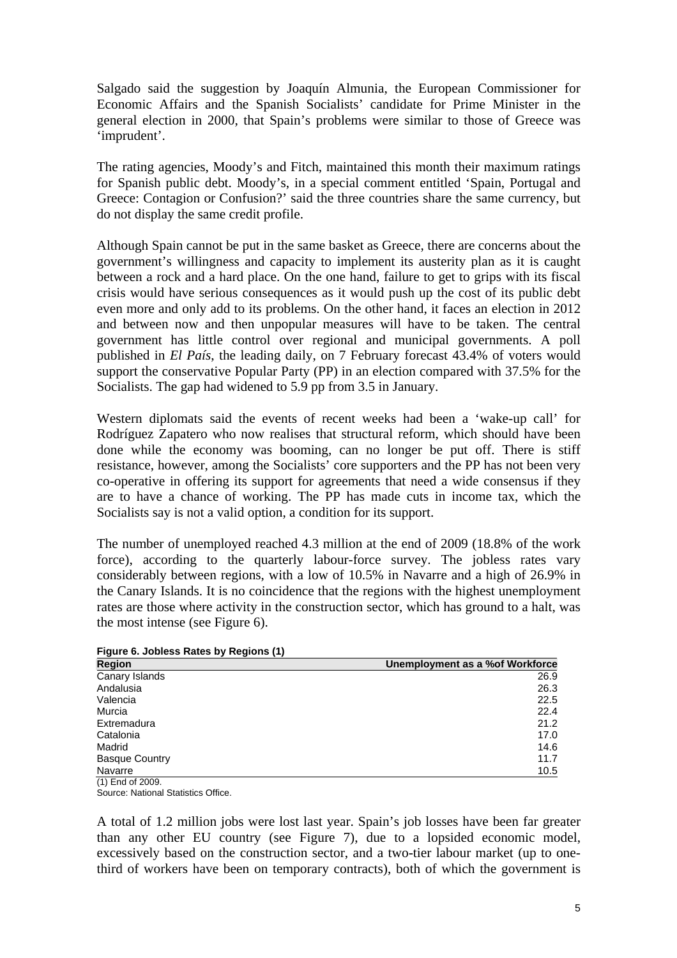Salgado said the suggestion by Joaquín Almunia, the European Commissioner for Economic Affairs and the Spanish Socialists' candidate for Prime Minister in the general election in 2000, that Spain's problems were similar to those of Greece was 'imprudent'.

The rating agencies, Moody's and Fitch, maintained this month their maximum ratings for Spanish public debt. Moody's, in a special comment entitled 'Spain, Portugal and Greece: Contagion or Confusion?' said the three countries share the same currency, but do not display the same credit profile.

Although Spain cannot be put in the same basket as Greece, there are concerns about the government's willingness and capacity to implement its austerity plan as it is caught between a rock and a hard place. On the one hand, failure to get to grips with its fiscal crisis would have serious consequences as it would push up the cost of its public debt even more and only add to its problems. On the other hand, it faces an election in 2012 and between now and then unpopular measures will have to be taken. The central government has little control over regional and municipal governments. A poll published in *El País*, the leading daily, on 7 February forecast 43.4% of voters would support the conservative Popular Party (PP) in an election compared with 37.5% for the Socialists. The gap had widened to 5.9 pp from 3.5 in January.

Western diplomats said the events of recent weeks had been a 'wake-up call' for Rodríguez Zapatero who now realises that structural reform, which should have been done while the economy was booming, can no longer be put off. There is stiff resistance, however, among the Socialists' core supporters and the PP has not been very co-operative in offering its support for agreements that need a wide consensus if they are to have a chance of working. The PP has made cuts in income tax, which the Socialists say is not a valid option, a condition for its support.

The number of unemployed reached 4.3 million at the end of 2009 (18.8% of the work force), according to the quarterly labour-force survey. The jobless rates vary considerably between regions, with a low of 10.5% in Navarre and a high of 26.9% in the Canary Islands. It is no coincidence that the regions with the highest unemployment rates are those where activity in the construction sector, which has ground to a halt, was the most intense (see Figure 6).

**Figure 6. Jobless Rates by Regions (1)** 

| <u>__</u><br><b>Region</b> | Unemployment as a % of Workforce |
|----------------------------|----------------------------------|
| Canary Islands             | 26.9                             |
| Andalusia                  | 26.3                             |
| Valencia                   | 22.5                             |
| Murcia                     | 22.4                             |
| Extremadura                | 21.2                             |
| Catalonia                  | 17.0                             |
| Madrid                     | 14.6                             |
| <b>Basque Country</b>      | 11.7                             |
| Navarre                    | 10.5                             |

(1) End of 2009. Source: National Statistics Office.

A total of 1.2 million jobs were lost last year. Spain's job losses have been far greater than any other EU country (see Figure 7), due to a lopsided economic model, excessively based on the construction sector, and a two-tier labour market (up to onethird of workers have been on temporary contracts), both of which the government is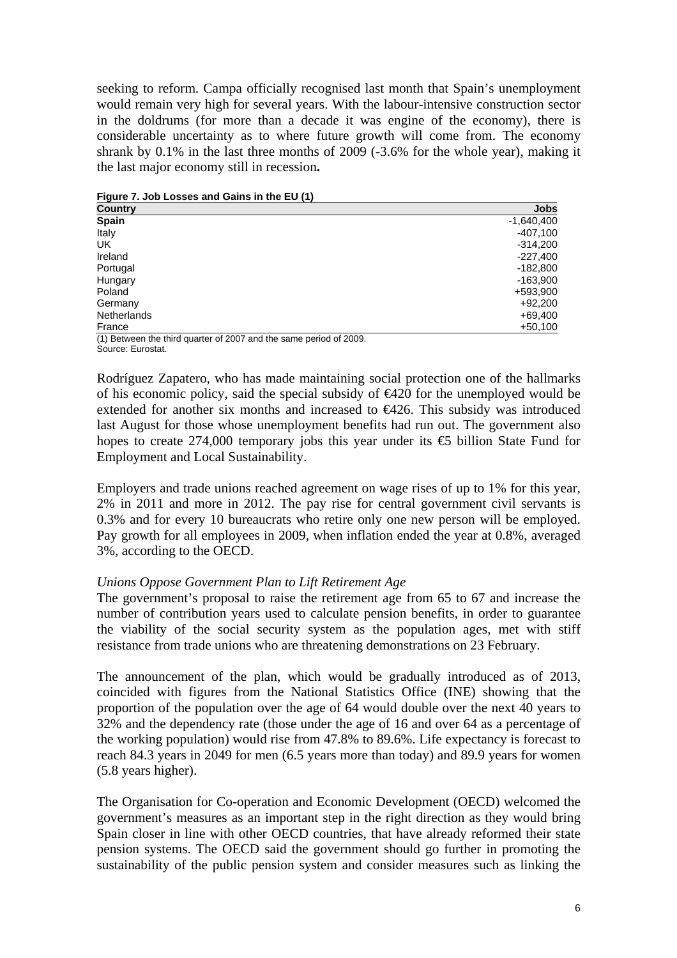seeking to reform. Campa officially recognised last month that Spain's unemployment would remain very high for several years. With the labour-intensive construction sector in the doldrums (for more than a decade it was engine of the economy), there is considerable uncertainty as to where future growth will come from. The economy shrank by 0.1% in the last three months of 2009 (-3.6% for the whole year), making it the last major economy still in recession**.** 

**Country Jobs Spain** -1,640,400 Italy -407,100 UK -314,200 Ireland -227,400 Portugal -182,800 Hungary -163,900 Poland +593,900 Germany +92,200 Netherlands +69,400 France +50,100

**Figure 7. Job Losses and Gains in the EU (1)** 

(1) Between the third quarter of 2007 and the same period of 2009. Source: Eurostat.

Rodríguez Zapatero, who has made maintaining social protection one of the hallmarks of his economic policy, said the special subsidy of  $\epsilon$ 420 for the unemployed would be extended for another six months and increased to €426. This subsidy was introduced last August for those whose unemployment benefits had run out. The government also hopes to create 274,000 temporary jobs this year under its €5 billion State Fund for Employment and Local Sustainability.

Employers and trade unions reached agreement on wage rises of up to 1% for this year, 2% in 2011 and more in 2012. The pay rise for central government civil servants is 0.3% and for every 10 bureaucrats who retire only one new person will be employed. Pay growth for all employees in 2009, when inflation ended the year at 0.8%, averaged 3%, according to the OECD.

## *Unions Oppose Government Plan to Lift Retirement Age*

The government's proposal to raise the retirement age from 65 to 67 and increase the number of contribution years used to calculate pension benefits, in order to guarantee the viability of the social security system as the population ages, met with stiff resistance from trade unions who are threatening demonstrations on 23 February.

The announcement of the plan, which would be gradually introduced as of 2013, coincided with figures from the National Statistics Office (INE) showing that the proportion of the population over the age of 64 would double over the next 40 years to 32% and the dependency rate (those under the age of 16 and over 64 as a percentage of the working population) would rise from 47.8% to 89.6%. Life expectancy is forecast to reach 84.3 years in 2049 for men (6.5 years more than today) and 89.9 years for women (5.8 years higher).

The Organisation for Co-operation and Economic Development (OECD) welcomed the government's measures as an important step in the right direction as they would bring Spain closer in line with other OECD countries, that have already reformed their state pension systems. The OECD said the government should go further in promoting the sustainability of the public pension system and consider measures such as linking the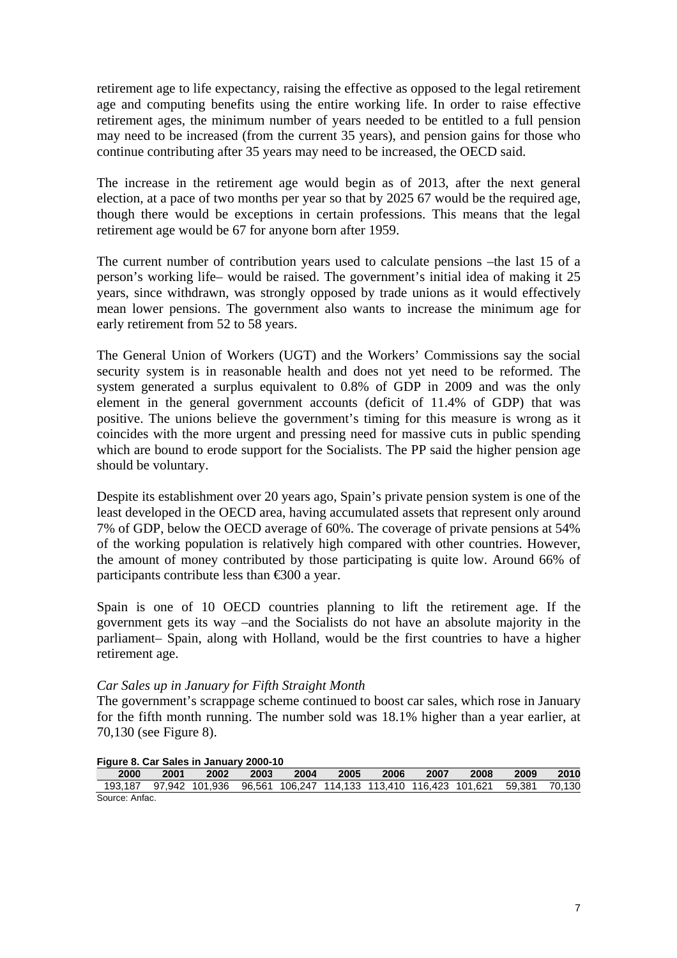retirement age to life expectancy, raising the effective as opposed to the legal retirement age and computing benefits using the entire working life. In order to raise effective retirement ages, the minimum number of years needed to be entitled to a full pension may need to be increased (from the current 35 years), and pension gains for those who continue contributing after 35 years may need to be increased, the OECD said.

The increase in the retirement age would begin as of 2013, after the next general election, at a pace of two months per year so that by 2025 67 would be the required age, though there would be exceptions in certain professions. This means that the legal retirement age would be 67 for anyone born after 1959.

The current number of contribution years used to calculate pensions –the last 15 of a person's working life– would be raised. The government's initial idea of making it 25 years, since withdrawn, was strongly opposed by trade unions as it would effectively mean lower pensions. The government also wants to increase the minimum age for early retirement from 52 to 58 years.

The General Union of Workers (UGT) and the Workers' Commissions say the social security system is in reasonable health and does not yet need to be reformed. The system generated a surplus equivalent to 0.8% of GDP in 2009 and was the only element in the general government accounts (deficit of 11.4% of GDP) that was positive. The unions believe the government's timing for this measure is wrong as it coincides with the more urgent and pressing need for massive cuts in public spending which are bound to erode support for the Socialists. The PP said the higher pension age should be voluntary.

Despite its establishment over 20 years ago, Spain's private pension system is one of the least developed in the OECD area, having accumulated assets that represent only around 7% of GDP, below the OECD average of 60%. The coverage of private pensions at 54% of the working population is relatively high compared with other countries. However, the amount of money contributed by those participating is quite low. Around 66% of participants contribute less than €300 a year.

Spain is one of 10 OECD countries planning to lift the retirement age. If the government gets its way –and the Socialists do not have an absolute majority in the parliament– Spain, along with Holland, would be the first countries to have a higher retirement age.

## *Car Sales up in January for Fifth Straight Month*

The government's scrappage scheme continued to boost car sales, which rose in January for the fifth month running. The number sold was 18.1% higher than a year earlier, at 70,130 (see Figure 8).

| <b>Trycle of Carl Cales in Carluary 2000-10</b> |      |      |      |      |      |      |      |                                                                                     |      |      |
|-------------------------------------------------|------|------|------|------|------|------|------|-------------------------------------------------------------------------------------|------|------|
| 2000                                            | 2001 | 2002 | 2003 | 2004 | 2005 | 2006 | 2007 | 2008                                                                                | 2009 | 2010 |
|                                                 |      |      |      |      |      |      |      | 193.187 97.942 101.936 96.561 106.247 114.133 113.410 116.423 101.621 59.381 70.130 |      |      |
| Source: Anfac.                                  |      |      |      |      |      |      |      |                                                                                     |      |      |

#### **Figure 8. Car Sales in January 2000-10**